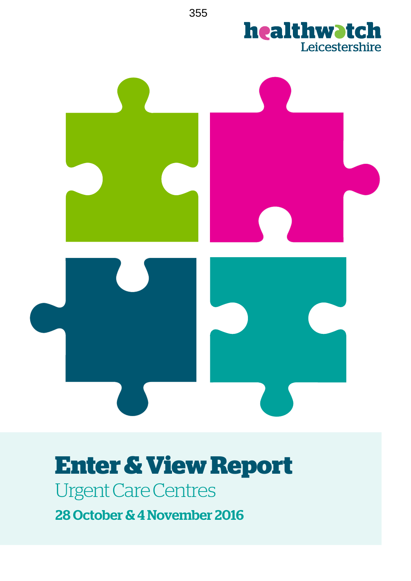

Urgent Care Centres

28 October & 4 November 2016

355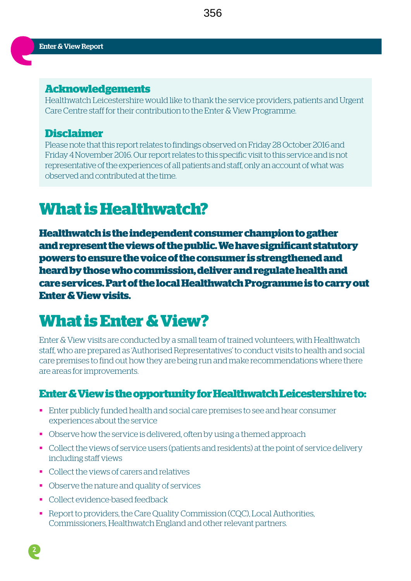#### **Acknowledgements**

Healthwatch Leicestershire would like to thank the service providers, patients and Urgent Care Centre staff for their contribution to the Enter & View Programme.

#### **Disclaimer**

Please note that this report relates to findings observed on Friday 28 October 2016 and Friday 4 November 2016. Our report relates to this specific visit to this service and is not representative of the experiences of all patients and staff, only an account of what was observed and contributed at the time.

## **What is Healthwatch?**

**Healthwatch is the independent consumer champion to gather and represent the views of the public. We have significant statutory powers to ensure the voice of the consumer is strengthened and heard by those who commission, deliver and regulate health and care services. Part of the local Healthwatch Programme is to carry out Enter & View visits.** 

## **What is Enter & View?**

Enter & View visits are conducted by a small team of trained volunteers, with Healthwatch staff, who are prepared as 'Authorised Representatives' to conduct visits to health and social care premises to find out how they are being run and make recommendations where there are areas for improvements.

## **Enter & View is the opportunity for Healthwatch Leicestershire to:**

- § Enter publicly funded health and social care premises to see and hear consumer experiences about the service
- Observe how the service is delivered, often by using a themed approach
- Collect the views of service users (patients and residents) at the point of service delivery including staff views
- Collect the views of carers and relatives
- Observe the nature and quality of services
- § Collect evidence-based feedback
- Report to providers, the Care Quality Commission (CQC), Local Authorities, Commissioners, Healthwatch England and other relevant partners.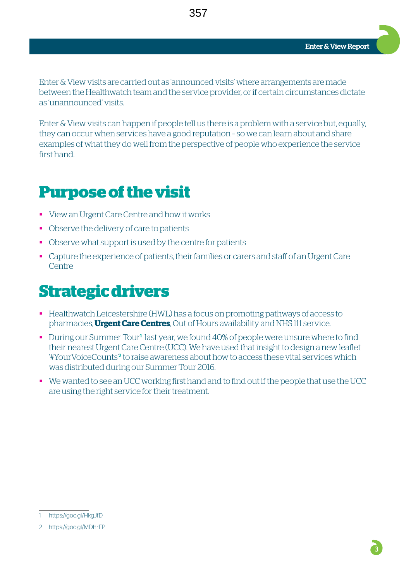Enter & View Report

Enter & View visits are carried out as 'announced visits' where arrangements are made between the Healthwatch team and the service provider, or if certain circumstances dictate as 'unannounced' visits.

Enter & View visits can happen if people tell us there is a problem with a service but, equally, they can occur when services have a good reputation – so we can learn about and share examples of what they do well from the perspective of people who experience the service first hand.

## **Purpose of the visit**

- View an Urgent Care Centre and how it works
- Observe the delivery of care to patients
- Observe what support is used by the centre for patients
- Capture the experience of patients, their families or carers and staff of an Urgent Care **Centre**

## **Strategic drivers**

- Healthwatch Leicestershire (HWL) has a focus on promoting pathways of access to pharmacies, **Urgent Care Centres**, Out of Hours availability and NHS 111 service.
- During our Summer Tour<sup>1</sup> last year, we found 40% of people were unsure where to find their nearest Urgent Care Centre (UCC). We have used that insight to design a new leaflet '#YourVoiceCounts'<sup>2</sup> to raise awareness about how to access these vital services which was distributed during our Summer Tour 2016.
- We wanted to see an UCC working first hand and to find out if the people that use the UCC are using the right service for their treatment.

<sup>1</sup> https://goo.gl/HkgJfD

<sup>2</sup> https://goo.gl/MDhrFP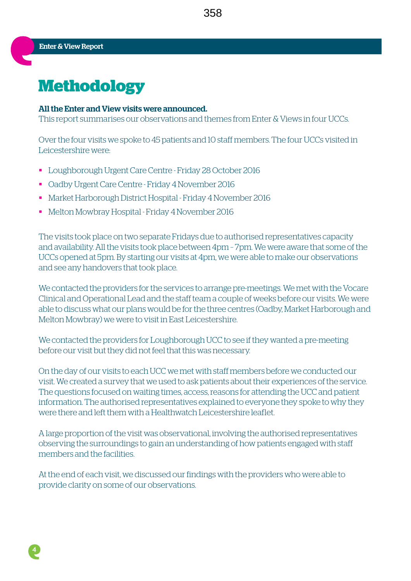358

**4**

## **Methodology**

#### All the Enter and View visits were announced.

This report summarises our observations and themes from Enter & Views in four UCCs.

Over the four visits we spoke to 45 patients and 10 staff members. The four UCCs visited in Leicestershire were:

- § Loughborough Urgent Care Centre Friday 28 October 2016
- § Oadby Urgent Care Centre Friday 4 November 2016
- § Market Harborough District Hospital Friday 4 November 2016
- § Melton Mowbray Hospital Friday 4 November 2016

The visits took place on two separate Fridays due to authorised representatives capacity and availability. All the visits took place between 4pm – 7pm. We were aware that some of the UCCs opened at 5pm. By starting our visits at 4pm, we were able to make our observations and see any handovers that took place.

We contacted the providers for the services to arrange pre-meetings. We met with the Vocare Clinical and Operational Lead and the staff team a couple of weeks before our visits. We were able to discuss what our plans would be for the three centres (Oadby, Market Harborough and Melton Mowbray) we were to visit in East Leicestershire.

We contacted the providers for Loughborough UCC to see if they wanted a pre-meeting before our visit but they did not feel that this was necessary.

On the day of our visits to each UCC we met with staff members before we conducted our visit. We created a survey that we used to ask patients about their experiences of the service. The questions focused on waiting times, access, reasons for attending the UCC and patient information. The authorised representatives explained to everyone they spoke to why they were there and left them with a Healthwatch Leicestershire leaflet.

A large proportion of the visit was observational, involving the authorised representatives observing the surroundings to gain an understanding of how patients engaged with staff members and the facilities.

At the end of each visit, we discussed our findings with the providers who were able to provide clarity on some of our observations.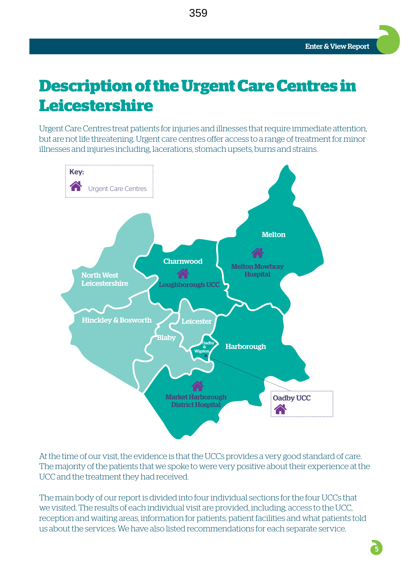## **Description of the Urgent Care Centres in Leicestershire**

359

Urgent Care Centres treat patients for injuries and illnesses that require immediate attention, but are not life threatening. Urgent care centres offer access to a range of treatment for minor illnesses and injuries including, lacerations, stomach upsets, burns and strains.



At the time of our visit, the evidence is that the UCCs provides a very good standard of care. The majority of the patients that we spoke to were very positive about their experience at the UCC and the treatment they had received.

The main body of our report is divided into four individual sections for the four UCCs that we visited. The results of each individual visit are provided, including; access to the UCC, reception and waiting areas, information for patients, patient facilities and what patients told us about the services. We have also listed recommendations for each separate service.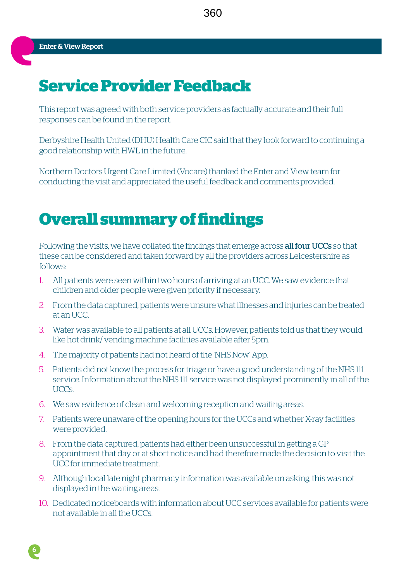## **Service Provider Feedback**

This report was agreed with both service providers as factually accurate and their full responses can be found in the report.

Derbyshire Health United (DHU) Health Care CIC said that they look forward to continuing a good relationship with HWL in the future.

Northern Doctors Urgent Care Limited (Vocare) thanked the Enter and View team for conducting the visit and appreciated the useful feedback and comments provided.

## **Overall summary of findings**

Following the visits, we have collated the findings that emerge across **all four UCCs** so that these can be considered and taken forward by all the providers across Leicestershire as follows:

- 1. All patients were seen within two hours of arriving at an UCC. We saw evidence that children and older people were given priority if necessary.
- 2. From the data captured, patients were unsure what illnesses and injuries can be treated at an UCC.
- 3. Water was available to all patients at all UCCs. However, patients told us that they would like hot drink/ vending machine facilities available after 5pm.
- 4. The majority of patients had not heard of the 'NHS Now' App.
- 5. Patients did not know the process for triage or have a good understanding of the NHS 111 service. Information about the NHS 111 service was not displayed prominently in all of the UCCs.
- 6. We saw evidence of clean and welcoming reception and waiting areas.
- 7. Patients were unaware of the opening hours for the UCCs and whether X-ray facilities were provided.
- 8. From the data captured, patients had either been unsuccessful in getting a GP appointment that day or at short notice and had therefore made the decision to visit the UCC for immediate treatment.
- 9. Although local late night pharmacy information was available on asking, this was not displayed in the waiting areas.
- 10. Dedicated noticeboards with information about UCC services available for patients were not available in all the UCCs.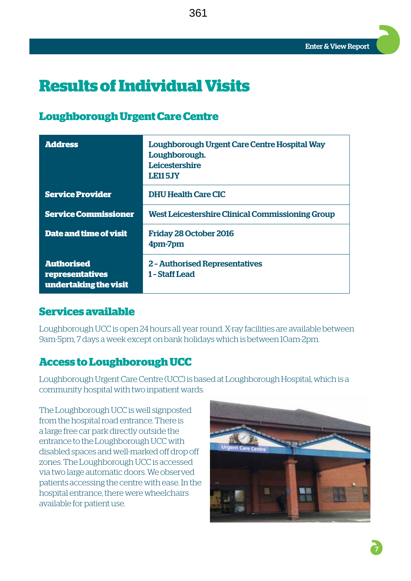## **Results of Individual Visits**

## **Loughborough Urgent Care Centre**

| <b>Address</b>                                                | Loughborough Urgent Care Centre Hospital Way<br>Loughborough.<br><b>Leicestershire</b><br><b>LE115JY</b> |
|---------------------------------------------------------------|----------------------------------------------------------------------------------------------------------|
| <b>Service Provider</b>                                       | <b>DHU Health Care CIC</b>                                                                               |
| <b>Service Commissioner</b>                                   | <b>West Leicestershire Clinical Commissioning Group</b>                                                  |
| Date and time of visit                                        | <b>Friday 28 October 2016</b><br>4pm-7pm                                                                 |
| <b>Authorised</b><br>representatives<br>undertaking the visit | <b>2 - Authorised Representatives</b><br>1 - Staff Lead                                                  |

361

## **Services available**

Loughborough UCC is open 24 hours all year round. X-ray facilities are available between 9am-5pm, 7 days a week except on bank holidays which is between 10am-2pm.

## **Access to Loughborough UCC**

Loughborough Urgent Care Centre (UCC) is based at Loughborough Hospital, which is a community hospital with two inpatient wards.

The Loughborough UCC is well signposted from the hospital road entrance. There is a large free car park directly outside the entrance to the Loughborough UCC with disabled spaces and well-marked off drop off zones. The Loughborough UCC is accessed via two large automatic doors. We observed patients accessing the centre with ease. In the hospital entrance, there were wheelchairs available for patient use.

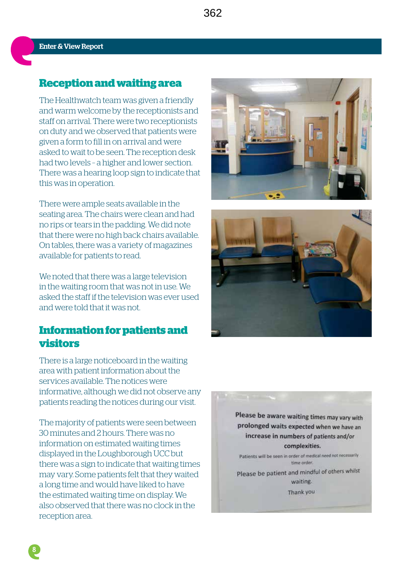### **Reception and waiting area**

The Healthwatch team was given a friendly and warm welcome by the receptionists and staff on arrival. There were two receptionists on duty and we observed that patients were given a form to fill in on arrival and were asked to wait to be seen. The reception desk had two levels – a higher and lower section. There was a hearing loop sign to indicate that this was in operation.

There were ample seats available in the seating area. The chairs were clean and had no rips or tears in the padding. We did note that there were no high back chairs available. On tables, there was a variety of magazines available for patients to read.

We noted that there was a large television in the waiting room that was not in use. We asked the staff if the television was ever used and were told that it was not.

## **Information for patients and visitors**

There is a large noticeboard in the waiting area with patient information about the services available. The notices were informative, although we did not observe any patients reading the notices during our visit.

The majority of patients were seen between 30 minutes and 2 hours. There was no information on estimated waiting times displayed in the Loughborough UCC but there was a sign to indicate that waiting times may vary. Some patients felt that they waited a long time and would have liked to have the estimated waiting time on display. We also observed that there was no clock in the reception area.





Please be aware waiting times may vary with prolonged waits expected when we have an increase in numbers of patients and/or complexities.

Patients will be seen in order of medical need not necessarily time order.

Please be patient and mindful of others whilst waiting.

Thank you

**8**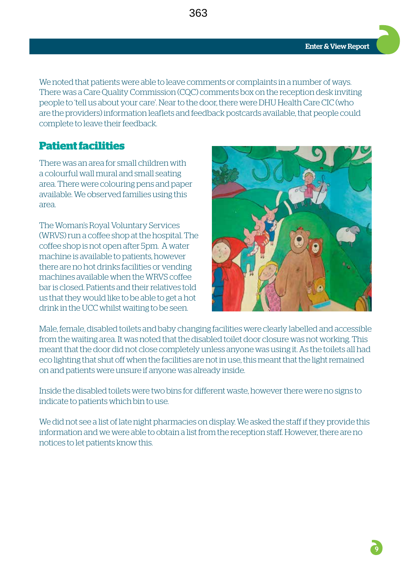We noted that patients were able to leave comments or complaints in a number of ways. There was a Care Quality Commission (CQC) comments box on the reception desk inviting people to 'tell us about your care'. Near to the door, there were DHU Health Care CIC (who are the providers) information leaflets and feedback postcards available, that people could complete to leave their feedback.

363

## **Patient facilities**

There was an area for small children with a colourful wall mural and small seating area. There were colouring pens and paper available. We observed families using this area.

The Woman's Royal Voluntary Services (WRVS) run a coffee shop at the hospital. The coffee shop is not open after 5pm. A water machine is available to patients, however there are no hot drinks facilities or vending machines available when the WRVS coffee bar is closed. Patients and their relatives told us that they would like to be able to get a hot drink in the UCC whilst waiting to be seen.



Male, female, disabled toilets and baby changing facilities were clearly labelled and accessible from the waiting area. It was noted that the disabled toilet door closure was not working. This meant that the door did not close completely unless anyone was using it. As the toilets all had eco lighting that shut off when the facilities are not in use, this meant that the light remained on and patients were unsure if anyone was already inside.

Inside the disabled toilets were two bins for different waste, however there were no signs to indicate to patients which bin to use.

We did not see a list of late night pharmacies on display. We asked the staff if they provide this information and we were able to obtain a list from the reception staff. However, there are no notices to let patients know this.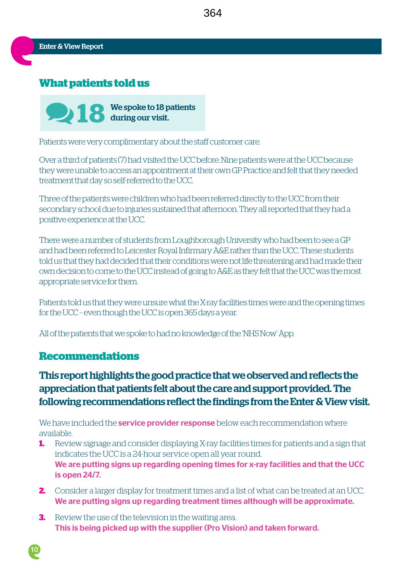## **What patients told us**



Patients were very complimentary about the staff customer care.

Over a third of patients (7) had visited the UCC before. Nine patients were at the UCC because they were unable to access an appointment at their own GP Practice and felt that they needed treatment that day so self-referred to the UCC.

Three of the patients were children who had been referred directly to the UCC from their secondary school due to injuries sustained that afternoon. They all reported that they had a positive experience at the UCC.

There were a number of students from Loughborough University who had been to see a GP and had been referred to Leicester Royal Infirmary A&E rather than the UCC. These students told us that they had decided that their conditions were not life threatening and had made their own decision to come to the UCC instead of going to A&E as they felt that the UCC was the most appropriate service for them.

Patients told us that they were unsure what the X-ray facilities times were and the opening times for the UCC – even though the UCC is open 365 days a year.

All of the patients that we spoke to had no knowledge of the 'NHS Now' App.

#### **Recommendations**

**10**

## This report highlights the good practice that we observed and reflects the appreciation that patients felt about the care and support provided. The following recommendations reflect the findings from the Enter & View visit.

We have included the **service provider response** below each recommendation where available.

- **1.** Review signage and consider displaying X-ray facilities times for patients and a sign that indicates the UCC is a 24-hour service open all year round. We are putting signs up regarding opening times for x-ray facilities and that the UCC is open 24/7.
- **2.** Consider a larger display for treatment times and a list of what can be treated at an UCC. We are putting signs up regarding treatment times although will be approximate.
- **3.** Review the use of the television in the waiting area. This is being picked up with the supplier (Pro Vision) and taken forward.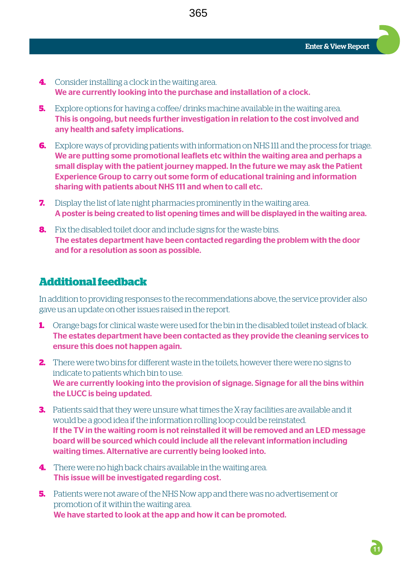- **4.** Consider installing a clock in the waiting area. We are currently looking into the purchase and installation of a clock.
- **5.** Explore options for having a coffee/ drinks machine available in the waiting area. This is ongoing, but needs further investigation in relation to the cost involved and any health and safety implications.
- **6.** Explore ways of providing patients with information on NHS 111 and the process for triage. We are putting some promotional leaflets etc within the waiting area and perhaps a small display with the patient journey mapped. In the future we may ask the Patient Experience Group to carry out some form of educational training and information sharing with patients about NHS 111 and when to call etc.
- **7.** Display the list of late night pharmacies prominently in the waiting area. A poster is being created to list opening times and will be displayed in the waiting area.
- **8.** Fix the disabled toilet door and include signs for the waste bins. The estates department have been contacted regarding the problem with the door and for a resolution as soon as possible.

### **Additional feedback**

In addition to providing responses to the recommendations above, the service provider also gave us an update on other issues raised in the report.

- **1.** Orange bags for clinical waste were used for the bin in the disabled toilet instead of black. The estates department have been contacted as they provide the cleaning services to ensure this does not happen again.
- **2.** There were two bins for different waste in the toilets, however there were no signs to indicate to patients which bin to use. We are currently looking into the provision of signage. Signage for all the bins within the LUCC is being updated.
- **3.** Patients said that they were unsure what times the X-ray facilities are available and it would be a good idea if the information rolling loop could be reinstated. If the TV in the waiting room is not reinstalled it will be removed and an LED message board will be sourced which could include all the relevant information including waiting times. Alternative are currently being looked into.
- **4.** There were no high back chairs available in the waiting area. This issue will be investigated regarding cost.
- **5.** Patients were not aware of the NHS Now app and there was no advertisement or promotion of it within the waiting area. We have started to look at the app and how it can be promoted.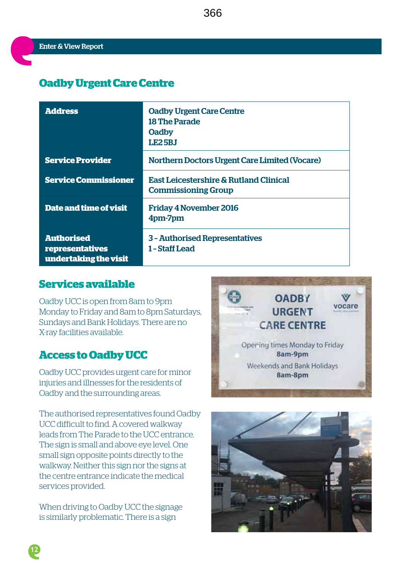## **Oadby Urgent Care Centre**

| <b>Address</b>                                                | <b>Oadby Urgent Care Centre</b><br><b>18 The Parade</b><br><b>Oadby</b><br><b>LE25BJ</b> |
|---------------------------------------------------------------|------------------------------------------------------------------------------------------|
| <b>Service Provider</b>                                       | <b>Northern Doctors Urgent Care Limited (Vocare)</b>                                     |
| <b>Service Commissioner</b>                                   | <b>East Leicestershire &amp; Rutland Clinical</b><br><b>Commissioning Group</b>          |
| <b>Date and time of visit</b>                                 | <b>Friday 4 November 2016</b><br>4pm-7pm                                                 |
| <b>Authorised</b><br>representatives<br>undertaking the visit | 3 - Authorised Representatives<br>1 - Staff Lead                                         |

## **Services available**

Oadby UCC is open from 8am to 9pm Monday to Friday and 8am to 8pm Saturdays, Sundays and Bank Holidays. There are no X-ray facilities available.

## **Access to Oadby UCC**

Oadby UCC provides urgent care for minor injuries and illnesses for the residents of Oadby and the surrounding areas.

The authorised representatives found Oadby UCC difficult to find. A covered walkway leads from The Parade to the UCC entrance. The sign is small and above eye level. One small sign opposite points directly to the walkway. Neither this sign nor the signs at the centre entrance indicate the medical services provided.

When driving to Oadby UCC the signage is similarly problematic. There is a sign





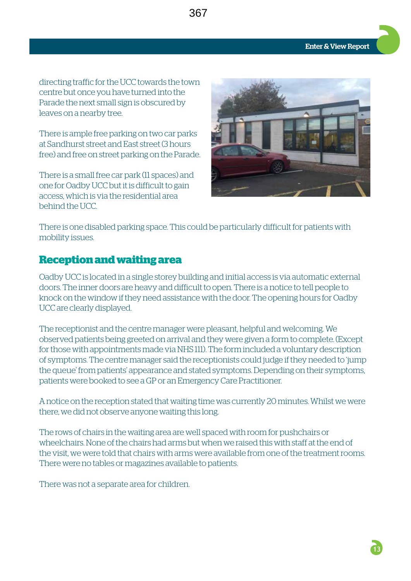directing traffic for the UCC towards the town centre but once you have turned into the Parade the next small sign is obscured by leaves on a nearby tree.

There is ample free parking on two car parks at Sandhurst street and East street (3 hours free) and free on street parking on the Parade.

There is a small free car park (11 spaces) and one for Oadby UCC but it is difficult to gain access, which is via the residential area behind the UCC.



There is one disabled parking space. This could be particularly difficult for patients with mobility issues.

367

#### **Reception and waiting area**

Oadby UCC is located in a single storey building and initial access is via automatic external doors. The inner doors are heavy and difficult to open. There is a notice to tell people to knock on the window if they need assistance with the door. The opening hours for Oadby UCC are clearly displayed.

The receptionist and the centre manager were pleasant, helpful and welcoming. We observed patients being greeted on arrival and they were given a form to complete. (Except for those with appointments made via NHS 111). The form included a voluntary description of symptoms. The centre manager said the receptionists could judge if they needed to 'jump the queue' from patients' appearance and stated symptoms. Depending on their symptoms, patients were booked to see a GP or an Emergency Care Practitioner.

A notice on the reception stated that waiting time was currently 20 minutes. Whilst we were there, we did not observe anyone waiting this long.

The rows of chairs in the waiting area are well spaced with room for pushchairs or wheelchairs. None of the chairs had arms but when we raised this with staff at the end of the visit, we were told that chairs with arms were available from one of the treatment rooms. There were no tables or magazines available to patients.

There was not a separate area for children.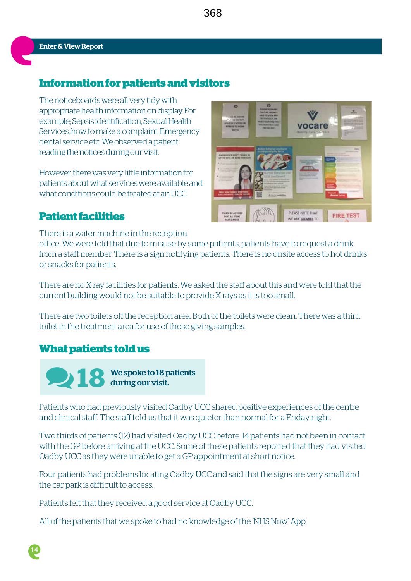## **Information for patients and visitors**

The noticeboards were all very tidy with appropriate health information on display. For example; Sepsis identification, Sexual Health Services, how to make a complaint, Emergency dental service etc. We observed a patient reading the notices during our visit.

However, there was very little information for patients about what services were available and what conditions could be treated at an UCC.

## **Patient facilities**

vocare PLEASE NOTE THAT **FIRE TEST** 

There is a water machine in the reception office. We were told that due to misuse by some patients, patients have to request a drink from a staff member. There is a sign notifying patients. There is no onsite access to hot drinks or snacks for patients.

There are no X-ray facilities for patients. We asked the staff about this and were told that the current building would not be suitable to provide X-rays as it is too small.

There are two toilets off the reception area. Both of the toilets were clean. There was a third toilet in the treatment area for use of those giving samples.

## **What patients told us**

**18** We spoke to 18 patients during our visit.

Patients who had previously visited Oadby UCC shared positive experiences of the centre and clinical staff. The staff told us that it was quieter than normal for a Friday night.

Two thirds of patients (12) had visited Oadby UCC before. 14 patients had not been in contact with the GP before arriving at the UCC. Some of these patients reported that they had visited Oadby UCC as they were unable to get a GP appointment at short notice.

Four patients had problems locating Oadby UCC and said that the signs are very small and the car park is difficult to access.

Patients felt that they received a good service at Oadby UCC.

All of the patients that we spoke to had no knowledge of the 'NHS Now' App.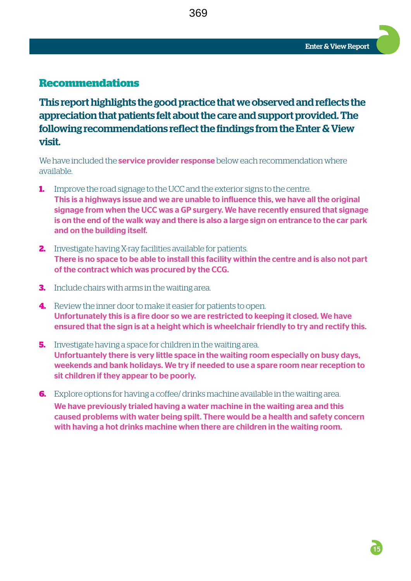### **Recommendations**

This report highlights the good practice that we observed and reflects the appreciation that patients felt about the care and support provided. The following recommendations reflect the findings from the Enter & View visit.

369

We have included the **service provider response** below each recommendation where available.

- **1.** Improve the road signage to the UCC and the exterior signs to the centre. This is a highways issue and we are unable to influence this, we have all the original signage from when the UCC was a GP surgery. We have recently ensured that signage is on the end of the walk way and there is also a large sign on entrance to the car park and on the building itself.
- **2.** Investigate having X-ray facilities available for patients. There is no space to be able to install this facility within the centre and is also not part of the contract which was procured by the CCG.
- **3.** Include chairs with arms in the waiting area.
- **4.** Review the inner door to make it easier for patients to open. Unfortunately this is a fire door so we are restricted to keeping it closed. We have ensured that the sign is at a height which is wheelchair friendly to try and rectify this.
- **5.** Investigate having a space for children in the waiting area. Unfortuantely there is very little space in the waiting room especially on busy days, weekends and bank holidays. We try if needed to use a spare room near reception to sit children if they appear to be poorly.
- **6.** Explore options for having a coffee/ drinks machine available in the waiting area. We have previously trialed having a water machine in the waiting area and this caused problems with water being spilt. There would be a health and safety concern with having a hot drinks machine when there are children in the waiting room.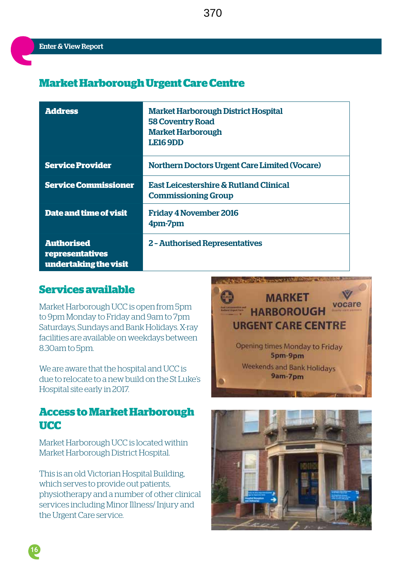## **Market Harborough Urgent Care Centre**

| <b>Address</b>                                                | <b>Market Harborough District Hospital</b><br><b>58 Coventry Road</b><br><b>Market Harborough</b><br><b>LE16 9DD</b> |
|---------------------------------------------------------------|----------------------------------------------------------------------------------------------------------------------|
| <b>Service Provider</b>                                       | <b>Northern Doctors Urgent Care Limited (Vocare)</b>                                                                 |
| <b>Service Commissioner</b>                                   | <b>East Leicestershire &amp; Rutland Clinical</b><br><b>Commissioning Group</b>                                      |
| Date and time of visit                                        | <b>Friday 4 November 2016</b><br>4pm-7pm                                                                             |
| <b>Authorised</b><br>representatives<br>undertaking the visit | <b>2 - Authorised Representatives</b>                                                                                |

## **Services available**

Market Harborough UCC is open from 5pm to 9pm Monday to Friday and 9am to 7pm Saturdays, Sundays and Bank Holidays. X-ray facilities are available on weekdays between 8.30am to 5pm.

We are aware that the hospital and UCC is due to relocate to a new build on the St Luke's Hospital site early in 2017.

## **Access to Market Harborough UCC**

Market Harborough UCC is located within Market Harborough District Hospital.

This is an old Victorian Hospital Building, which serves to provide out patients, physiotherapy and a number of other clinical services including Minor Illness/ Injury and the Urgent Care service.





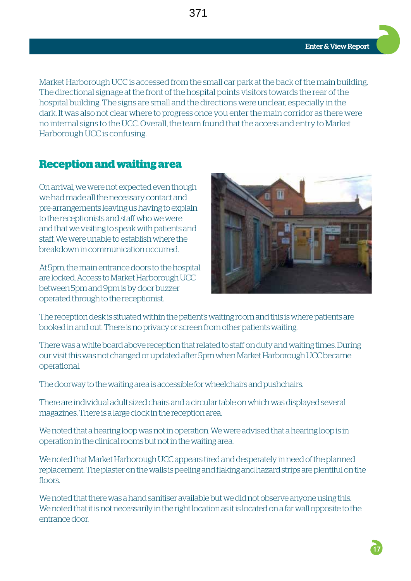Market Harborough UCC is accessed from the small car park at the back of the main building. The directional signage at the front of the hospital points visitors towards the rear of the hospital building. The signs are small and the directions were unclear, especially in the dark. It was also not clear where to progress once you enter the main corridor as there were no internal signs to the UCC. Overall, the team found that the access and entry to Market Harborough UCC is confusing.

### **Reception and waiting area**

On arrival, we were not expected even though we had made all the necessary contact and pre-arrangements leaving us having to explain to the receptionists and staff who we were and that we visiting to speak with patients and staff. We were unable to establish where the breakdown in communication occurred.

At 5pm, the main entrance doors to the hospital are locked. Access to Market Harborough UCC between 5pm and 9pm is by door buzzer operated through to the receptionist.



The reception desk is situated within the patient's waiting room and this is where patients are booked in and out. There is no privacy or screen from other patients waiting.

There was a white board above reception that related to staff on duty and waiting times. During our visit this was not changed or updated after 5pm when Market Harborough UCC became operational.

The doorway to the waiting area is accessible for wheelchairs and pushchairs.

There are individual adult sized chairs and a circular table on which was displayed several magazines. There is a large clock in the reception area.

We noted that a hearing loop was not in operation. We were advised that a hearing loop is in operation in the clinical rooms but not in the waiting area.

We noted that Market Harborough UCC appears tired and desperately in need of the planned replacement. The plaster on the walls is peeling and flaking and hazard strips are plentiful on the floors.

We noted that there was a hand sanitiser available but we did not observe anyone using this. We noted that it is not necessarily in the right location as it is located on a far wall opposite to the entrance door.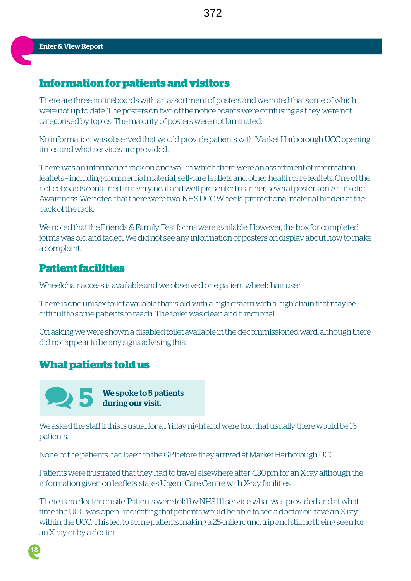### **Information for patients and visitors**

There are three noticeboards with an assortment of posters and we noted that some of which were not up to date. The posters on two of the noticeboards were confusing as they were not categorised by topics. The majority of posters were not laminated.

No information was observed that would provide patients with Market Harborough UCC opening times and what services are provided.

There was an information rack on one wall in which there were an assortment of information leaflets – including commercial material, self-care leaflets and other health care leaflets. One of the noticeboards contained in a very neat and well-presented manner, several posters on Antibiotic Awareness. We noted that there were two 'NHS UCC Wheels' promotional material hidden at the back of the rack.

We noted that the Friends & Family Test forms were available. However, the box for completed forms was old and faded. We did not see any information or posters on display about how to make a complaint.

#### **Patient facilities**

Wheelchair access is available and we observed one patient wheelchair user.

There is one unisex toilet available that is old with a high cistern with a high chain that may be difficult to some patients to reach. The toilet was clean and functional.

On asking we were shown a disabled toilet available in the decommissioned ward, although there did not appear to be any signs advising this.

#### **What patients told us**



 **5** We spoke to 5 patients during our visit.

We asked the staff if this is usual for a Friday night and were told that usually there would be 16 patients.

None of the patients had been to the GP before they arrived at Market Harborough UCC.

Patients were frustrated that they had to travel elsewhere after 4.30pm for an X-ray although the information given on leaflets 'states Urgent Care Centre with X-ray facilities'.

There is no doctor on site. Patients were told by NHS 111 service what was provided and at what time the UCC was open - indicating that patients would be able to see a doctor or have an X-ray within the UCC. This led to some patients making a 25-mile round trip and still not being seen for an X-ray or by a doctor.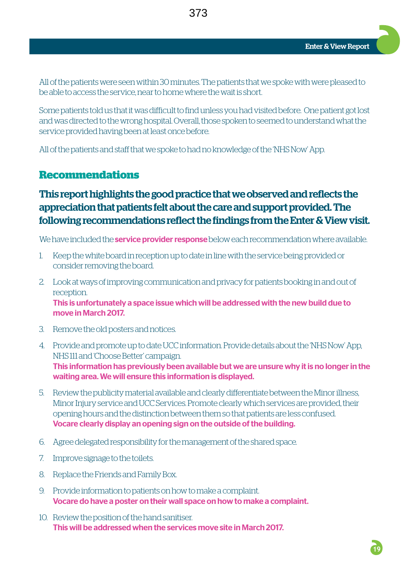All of the patients were seen within 30 minutes. The patients that we spoke with were pleased to be able to access the service, near to home where the wait is short.

Some patients told us that it was difficult to find unless you had visited before. One patient got lost and was directed to the wrong hospital. Overall, those spoken to seemed to understand what the service provided having been at least once before.

All of the patients and staff that we spoke to had no knowledge of the 'NHS Now' App.

### **Recommendations**

## This report highlights the good practice that we observed and reflects the appreciation that patients felt about the care and support provided. The following recommendations reflect the findings from the Enter & View visit.

We have included the **service provider response** below each recommendation where available.

- 1. Keep the white board in reception up to date in line with the service being provided or consider removing the board.
- 2. Look at ways of improving communication and privacy for patients booking in and out of reception. This is unfortunately a space issue which will be addressed with the new build due to move in March 2017.
- 3. Remove the old posters and notices.
- 4. Provide and promote up to date UCC information. Provide details about the 'NHS Now' App, NHS 111 and 'Choose Better' campaign. This information has previously been available but we are unsure why it is no longer in the waiting area. We will ensure this information is displayed.
- 5. Review the publicity material available and clearly differentiate between the Minor illness, Minor Injury service and UCC Services. Promote clearly which services are provided, their opening hours and the distinction between them so that patients are less confused. Vocare clearly display an opening sign on the outside of the building.
- 6. Agree delegated responsibility for the management of the shared space.
- 7. Improve signage to the toilets.
- 8. Replace the Friends and Family Box.
- 9. Provide information to patients on how to make a complaint. Vocare do have a poster on their wall space on how to make a complaint.
- 10. Review the position of the hand sanitiser. This will be addressed when the services move site in March 2017.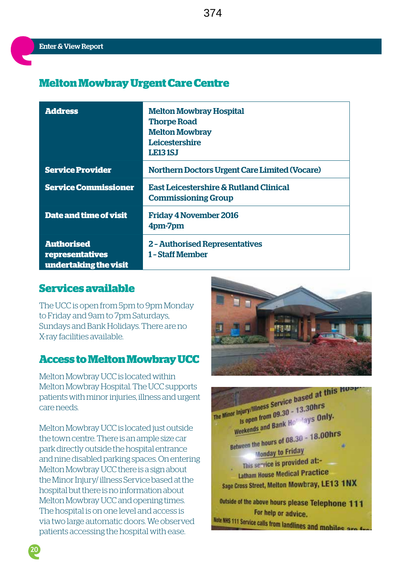## **Melton Mowbray Urgent Care Centre**

| <b>Address</b>                                                | <b>Melton Mowbray Hospital</b><br><b>Thorpe Road</b><br><b>Melton Mowbray</b><br><b>Leicestershire</b><br><b>LE131SJ</b> |
|---------------------------------------------------------------|--------------------------------------------------------------------------------------------------------------------------|
| <b>Service Provider</b>                                       | <b>Northern Doctors Urgent Care Limited (Vocare)</b>                                                                     |
| <b>Service Commissioner</b>                                   | <b>East Leicestershire &amp; Rutland Clinical</b><br><b>Commissioning Group</b>                                          |
| <b>Date and time of visit</b>                                 | <b>Friday 4 November 2016</b><br>4pm-7pm                                                                                 |
| <b>Authorised</b><br>representatives<br>undertaking the visit | <b>2 - Authorised Representatives</b><br>1 - Staff Member                                                                |

### **Services available**

The UCC is open from 5pm to 9pm Monday to Friday and 9am to 7pm Saturdays, Sundays and Bank Holidays. There are no X-ray facilities available.

#### **Access to Melton Mowbray UCC**

Melton Mowbray UCC is located within Melton Mowbray Hospital. The UCC supports patients with minor injuries, illness and urgent care needs.

Melton Mowbray UCC is located just outside the town centre. There is an ample size car park directly outside the hospital entrance and nine disabled parking spaces. On entering Melton Mowbray UCC there is a sign about the Minor Injury/ illness Service based at the hospital but there is no information about Melton Mowbray UCC and opening times. The hospital is on one level and access is via two large automatic doors. We observed patients accessing the hospital with ease.



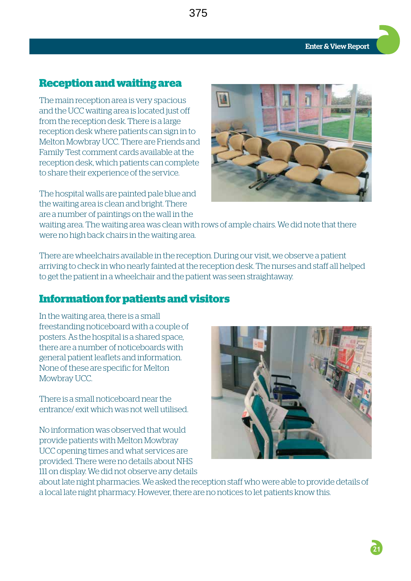## **Reception and waiting area**

The main reception area is very spacious and the UCC waiting area is located just off from the reception desk. There is a large reception desk where patients can sign in to Melton Mowbray UCC. There are Friends and Family Test comment cards available at the reception desk, which patients can complete to share their experience of the service.

The hospital walls are painted pale blue and the waiting area is clean and bright. There are a number of paintings on the wall in the



waiting area. The waiting area was clean with rows of ample chairs. We did note that there were no high back chairs in the waiting area.

375

There are wheelchairs available in the reception. During our visit, we observe a patient arriving to check in who nearly fainted at the reception desk. The nurses and staff all helped to get the patient in a wheelchair and the patient was seen straightaway.

## **Information for patients and visitors**

In the waiting area, there is a small freestanding noticeboard with a couple of posters. As the hospital is a shared space, there are a number of noticeboards with general patient leaflets and information. None of these are specific for Melton Mowbray UCC.

There is a small noticeboard near the entrance/ exit which was not well utilised.

No information was observed that would provide patients with Melton Mowbray UCC opening times and what services are provided. There were no details about NHS 111 on display. We did not observe any details



about late night pharmacies. We asked the reception staff who were able to provide details of a local late night pharmacy. However, there are no notices to let patients know this.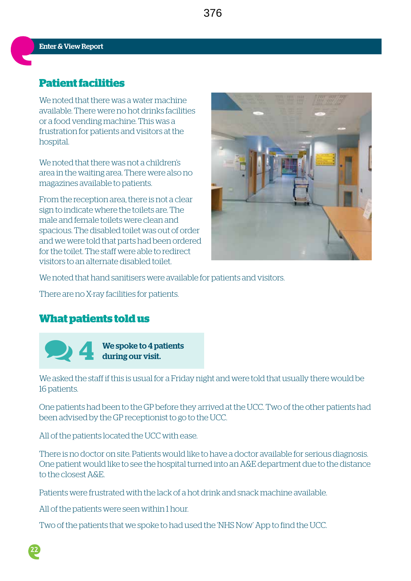## **Patient facilities**

We noted that there was a water machine available. There were no hot drinks facilities or a food vending machine. This was a frustration for patients and visitors at the hospital.

We noted that there was not a children's area in the waiting area. There were also no magazines available to patients.

From the reception area, there is not a clear sign to indicate where the toilets are. The male and female toilets were clean and spacious. The disabled toilet was out of order and we were told that parts had been ordered for the toilet. The staff were able to redirect visitors to an alternate disabled toilet.



We noted that hand sanitisers were available for patients and visitors.

There are no X-ray facilities for patients.

### **What patients told us**



**22**

 **4** We spoke to 4 patients during our visit.

We asked the staff if this is usual for a Friday night and were told that usually there would be 16 patients.

One patients had been to the GP before they arrived at the UCC. Two of the other patients had been advised by the GP receptionist to go to the UCC.

All of the patients located the UCC with ease.

There is no doctor on site. Patients would like to have a doctor available for serious diagnosis. One patient would like to see the hospital turned into an A&E department due to the distance to the closest A&E.

Patients were frustrated with the lack of a hot drink and snack machine available.

All of the patients were seen within 1 hour.

Two of the patients that we spoke to had used the 'NHS Now' App to find the UCC.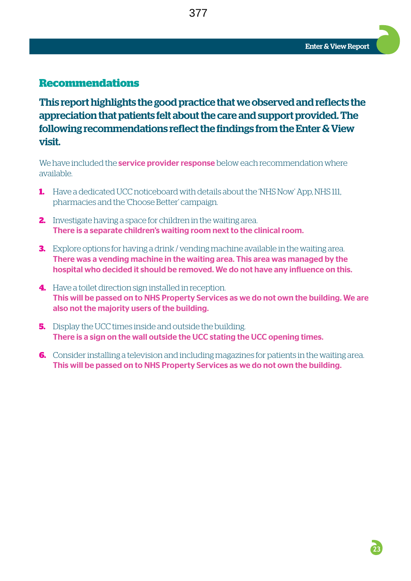#### **Recommendations**

This report highlights the good practice that we observed and reflects the appreciation that patients felt about the care and support provided. The following recommendations reflect the findings from the Enter & View visit.

377

We have included the **service provider response** below each recommendation where available.

- **1.** Have a dedicated UCC noticeboard with details about the 'NHS Now' App, NHS 111, pharmacies and the 'Choose Better' campaign.
- **2.** Investigate having a space for children in the waiting area. There is a separate children's waiting room next to the clinical room.
- **3.** Explore options for having a drink / vending machine available in the waiting area. There was a vending machine in the waiting area. This area was managed by the hospital who decided it should be removed. We do not have any influence on this.
- **4.** Have a toilet direction sign installed in reception. This will be passed on to NHS Property Services as we do not own the building. We are also not the majority users of the building.
- **5.** Display the UCC times inside and outside the building. There is a sign on the wall outside the UCC stating the UCC opening times.
- **6.** Consider installing a television and including magazines for patients in the waiting area. This will be passed on to NHS Property Services as we do not own the building.